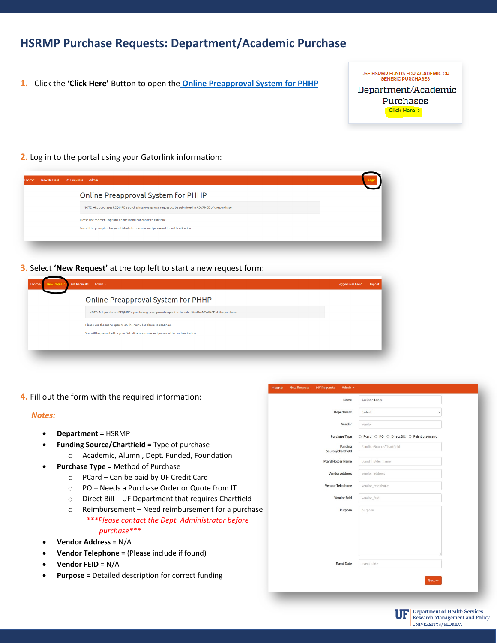# **HSRMP Purchase Requests: Department/Academic Purchase**

**1.** Click the **'Click Here'** Button to open the **[Online Preapproval System for PHHP](https://internal.phhp.ufl.edu/phhp/preapproval/)**

USE HSRMP FUNDS FOR ACADEMIC OR **GENERIC PURCHASES** Department/Academic Purchases

Click Here  $\rightarrow$ 

**2.** Log in to the portal using your Gatorlink information:

| Online Preapproval System for PHHP                                                                       |  |
|----------------------------------------------------------------------------------------------------------|--|
| NOTE: ALL purchases REQUIRE a purchasing preapproval request to be submitted in ADVANCE of the purchase. |  |
| Please use the menu options on the menu bar above to continue.                                           |  |
| You will be prompted for your Gatorlink username and password for authentication                         |  |

**3.** Select **'New Request'** at the top left to start a new request form:

| Home<br><b>New Request</b> | MY Requests Admin *                                                                                      | Logged in as hsci25 | Loqout |
|----------------------------|----------------------------------------------------------------------------------------------------------|---------------------|--------|
|                            | Online Preapproval System for PHHP                                                                       |                     |        |
|                            | NOTE: ALL purchases REQUIRE a purchasing preapproval request to be submitted in ADVANCE of the purchase. |                     |        |
|                            | Please use the menu options on the menu bar above to continue.                                           |                     |        |
|                            | You will be prompted for your Gatorlink username and password for authentication                         |                     |        |
|                            |                                                                                                          |                     |        |

**4.** Fill out the form with the required information:

#### *Notes:*

- **Department =** HSRMP
- **Funding Source/Chartfield =** Type of purchase o Academic, Alumni, Dept. Funded, Foundation
- **Purchase Type** = Method of Purchase
	- o PCard Can be paid by UF Credit Card
	- o PO Needs a Purchase Order or Quote from IT
	- o Direct Bill UF Department that requires Chartfield
	- o Reimbursement Need reimbursement for a purchase *\*\*\*Please contact the Dept. Administrator before purchase\*\*\**
- **Vendor Address** = N/A
- **Vendor Telephon**e = (Please include if found)
- **Vendor FEID** = N/A
- **Purpose** = Detailed description for correct funding

| <b>New Request</b> | <b>MY Requests</b><br>Admin - |                                            |
|--------------------|-------------------------------|--------------------------------------------|
|                    | Name                          | Jackson, Lance                             |
|                    | Department                    | Select<br>$\checkmark$                     |
|                    | Vendor                        | vendor                                     |
|                    | Purchase Type                 | ○ Pcard ○ PO ○ Direct Bill ○ Reimbursement |
|                    | Funding<br>Source/Chartfield  | Funding Source/Chartfield                  |
|                    | Pcard Holder Name             | pcard_holder_name                          |
|                    | <b>Vendor Address</b>         | vendor_address                             |
|                    | Vendor Telephone              | vendor_telephone                           |
|                    | <b>Vendor Feid</b>            | vendor feld                                |
|                    | Purpose                       | purpose                                    |
|                    |                               |                                            |
|                    |                               |                                            |
|                    |                               |                                            |
|                    |                               | event date                                 |
|                    | <b>Event Date</b>             |                                            |